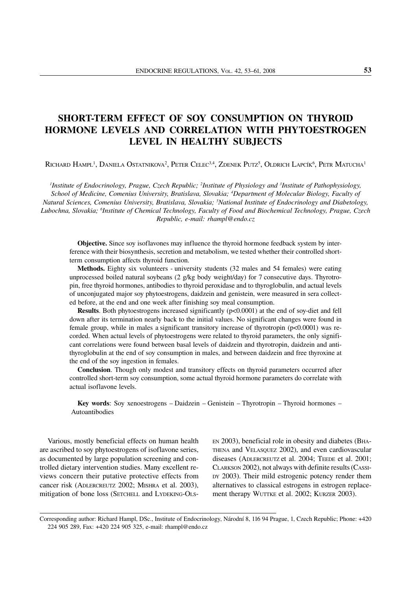# SHORT-TERM EFFECT OF SOY CONSUMPTION ON THYROID HORMONE LEVELS AND CORRELATION WITH PHYTOESTROGEN LEVEL IN HEALTHY SUBJECTS

Richard Hampl<sup>1</sup>, Daniela Ostatnikova<sup>2</sup>, Peter Celec<sup>3,4</sup>, Zdenek Putz<sup>5</sup>, Oldrich Lapcík<sup>6</sup>, Petr Matucha<sup>1</sup>

<sup>1</sup>Institute of Endocrinology, Prague, Czech Republic; <sup>2</sup>Institute of Physiology and <sup>3</sup>Institute of Pathophysiology, *School of Medicine, Comenius University, Bratislava, Slovakia; 4 Department of Molecular Biology, Faculty of Natural Sciences, Comenius University, Bratislava, Slovakia; 5 National Institute of Endocrinology and Diabetology, Lubochna, Slovakia; 6 Institute of Chemical Technology, Faculty of Food and Biochemical Technology, Prague, Czech Republic, e-mail: rhampl@endo.cz*

Objective. Since soy isoflavones may influence the thyroid hormone feedback system by interference with their biosynthesis, secretion and metabolism, we tested whether their controlled shortterm consumption affects thyroid function.

Methods. Eighty six volunteers - university students (32 males and 54 females) were eating unprocessed boiled natural soybeans (2  $g/kg$  body weight/day) for 7 consecutive days. Thyrotropin, free thyroid hormones, antibodies to thyroid peroxidase and to thyroglobulin, and actual levels of unconjugated major soy phytoestrogens, daidzein and genistein, were measured in sera collected before, at the end and one week after finishing soy meal consumption.

**Results**. Both phytoestrogens increased significantly  $(p<0.0001)$  at the end of soy-diet and fell down after its termination nearly back to the initial values. No significant changes were found in female group, while in males a significant transitory increase of thyrotropin (p<0.0001) was recorded. When actual levels of phytoestrogens were related to thyroid parameters, the only significant correlations were found between basal levels of daidzein and thyrotropin, daidzein and antithyroglobulin at the end of soy consumption in males, and between daidzein and free thyroxine at the end of the soy ingestion in females.

Conclusion. Though only modest and transitory effects on thyroid parameters occurred after controlled short-term soy consumption, some actual thyroid hormone parameters do correlate with actual isoflavone levels.

Key words: Soy xenoestrogens – Daidzein – Genistein – Thyrotropin – Thyroid hormones – Autoantibodies

Various, mostly beneficial effects on human health are ascribed to soy phytoestrogens of isoflavone series, as documented by large population screening and controlled dietary intervention studies. Many excellent reviews concern their putative protective effects from cancer risk (ADLERCREUTZ 2002; MISHRA et al. 2003), mitigation of bone loss (SETCHELL and LYDEKING-OLS-

EN 2003), beneficial role in obesity and diabetes (BHA-THENA and VELASQUEZ 2002), and even cardiovascular diseases (ADLERCREUTZ et al. 2004; TEEDE et al. 2001; CLARKSON 2002), not always with definite results (CASSI-DY 2003). Their mild estrogenic potency render them alternatives to classical estrogens in estrogen replacement therapy WUTTKE et al. 2002; KURZER 2003).

Corresponding author: Richard Hampl, DSc., Institute of Endocrinology, Národní 8, 116 94 Prague, 1, Czech Republic; Phone: +420 224 905 289, Fax: +420 224 905 325, e-mail: rhampl@endo.cz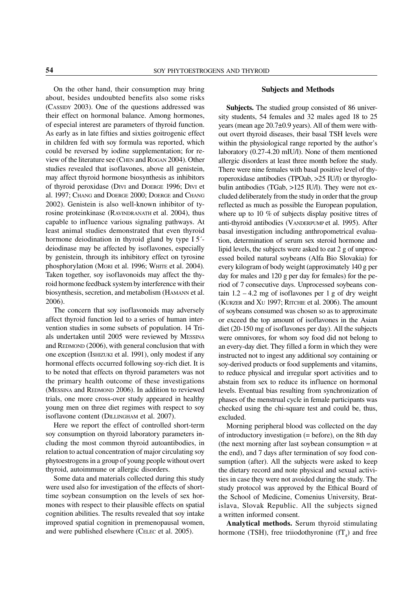On the other hand, their consumption may bring about, besides undoubted benefits also some risks (CASSIDY 2003). One of the questions addressed was their effect on hormonal balance. Among hormones, of especial interest are parameters of thyroid function. As early as in late fifties and sixties goitrogenic effect in children fed with soy formula was reported, which could be reversed by iodine supplementation; for review of the literature see (CHEN and ROGAN 2004). Other studies revealed that isoflavones, above all genistein, may affect thyroid hormone biosynthesis as inhibitors of thyroid peroxidase (DIVI and DOERGE 1996; DIVI et al. 1997; CHANG and DOERGE 2000; DOERGE and CHANG 2002). Genistein is also well-known inhibitor of tyrosine proteinkinase (RAVINDRANATH et al. 2004), thus capable to influence various signaling pathways. At least animal studies demonstrated that even thyroid hormone deiodination in thyroid gland by type I 5´ deiodinase may be affected by isoflavones, especially by genistein, through its inhibitory effect on tyrosine phosphorylation (MORI et al. 1996; WHITE et al. 2004)*.* Taken together, soy isoflavonoids may affect the thyroid hormone feedback system by interference with their biosynthesis, secretion, and metabolism (HAMANN et al. 2006).

The concern that soy isoflavonoids may adversely affect thyroid function led to a series of human intervention studies in some subsets of population. 14 Trials undertaken until 2005 were reviewed by MESSINA and REDMOND (2006), with general conclusion that with one exception (ISHIZUKI et al. 1991), only modest if any hormonal effects occurred following soy-rich diet. It is to be noted that effects on thyroid parameters was not the primary health outcome of these investigations (MESSINA and REDMOND 2006). In addition to reviewed trials, one more cross-over study appeared in healthy young men on three diet regimes with respect to soy isoflavone content (DILLINGHAM et al. 2007).

Here we report the effect of controlled short-term soy consumption on thyroid laboratory parameters including the most common thyroid autoantibodies, in relation to actual concentration of major circulating soy phytoestrogens in a group of young people without overt thyroid, autoimmune or allergic disorders.

Some data and materials collected during this study were used also for investigation of the effects of shorttime soybean consumption on the levels of sex hormones with respect to their plausible effects on spatial cognition abilities. The results revealed that soy intake improved spatial cognition in premenopausal women, and were published elsewhere (CELEC et al. 2005).

# Subjects and Methods

Subjects. The studied group consisted of 86 university students, 54 females and 32 males aged 18 to 25 years (mean age 20.7±0.9 years). All of them were without overt thyroid diseases, their basal TSH levels were within the physiological range reported by the author's laboratory (0.27-4.20 mIU/l). None of them mentioned allergic disorders at least three month before the study. There were nine females with basal positive level of thyroperoxidase antibodies (TPOab, >25 IU/l) or thyroglobulin antibodies (TGab, >125 IU/l). They were not excluded deliberately from the study in order that the group reflected as much as possible the European population, where up to 10 % of subjects display positive titres of anti-thyroid antibodies (VANDERPUMP et al. 1995). After basal investigation including anthropometrical evaluation, determination of serum sex steroid hormone and lipid levels, the subjects were asked to eat 2 g of unprocessed boiled natural soybeans (Alfa Bio Slovakia) for every kilogram of body weight (approximately 140 g per day for males and 120 g per day for females) for the period of 7 consecutive days. Unprocessed soybeans contain  $1.2 - 4.2$  mg of isoflavones per 1 g of dry weight (KURZER and XU 1997; RITCHIE et al. 2006). The amount of soybeans consumed was chosen so as to approximate or exceed the top amount of isoflavones in the Asian diet (20-150 mg of isoflavones per day). All the subjects were omnivores, for whom soy food did not belong to an every-day diet. They filled a form in which they were instructed not to ingest any additional soy containing or soy-derived products or food supplements and vitamins, to reduce physical and irregular sport activities and to abstain from sex to reduce its influence on hormonal levels. Eventual bias resulting from synchronization of phases of the menstrual cycle in female participants was checked using the chi-square test and could be, thus, excluded.

Morning peripheral blood was collected on the day of introductory investigation  $(= \text{before})$ , on the 8th day (the next morning after last soybean consumption = at the end), and 7 days after termination of soy food consumption (after). All the subjects were asked to keep the dietary record and note physical and sexual activities in case they were not avoided during the study. The study protocol was approved by the Ethical Board of the School of Medicine, Comenius University, Bratislava, Slovak Republic. All the subjects signed a written informed consent.

Analytical methods. Serum thyroid stimulating hormone (TSH), free triiodothyronine  $(fT_4)$  and free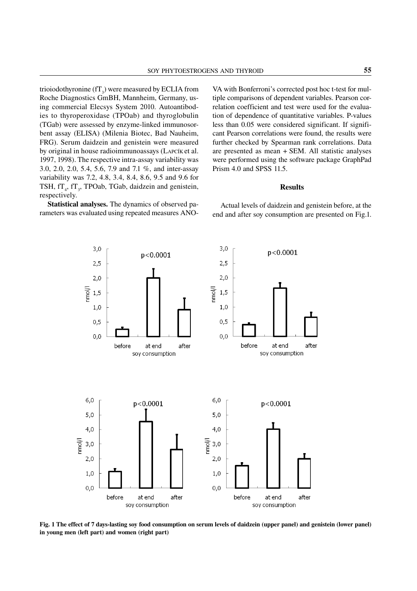trioiodothyronine (fT<sub>3</sub>) were measured by ECLIA from Roche Diagnostics GmBH, Mannheim, Germany, using commercial Elecsys System 2010. Autoantibodies to thyroperoxidase (TPOab) and thyroglobulin (TGab) were assessed by enzyme-linked immunosorbent assay (ELISA) (Milenia Biotec, Bad Nauheim, FRG). Serum daidzein and genistein were measured by original in house radioimmunoassays (LAPCÍK et al. 1997, 1998). The respective intra-assay variability was 3.0, 2.0, 2.0, 5.4, 5.6, 7.9 and 7.1 %, and inter-assay variability was 7.2, 4.8, 3.4, 8.4, 8.6, 9.5 and 9.6 for TSH,  $fT_4$ ,  $fT_3$ , TPOab, TGab, daidzein and genistein, respectively.

Statistical analyses. The dynamics of observed parameters was evaluated using repeated measures ANO-

VA with Bonferroni's corrected post hoc t-test for multiple comparisons of dependent variables. Pearson correlation coefficient and test were used for the evaluation of dependence of quantitative variables. P-values less than 0.05 were considered significant. If significant Pearson correlations were found, the results were further checked by Spearman rank correlations. Data are presented as mean + SEM. All statistic analyses were performed using the software package GraphPad Prism 4.0 and SPSS 11.5.

#### Results

Actual levels of daidzein and genistein before, at the end and after soy consumption are presented on Fig.1.



Fig. 1 The effect of 7 days-lasting soy food consumption on serum levels of daidzein (upper panel) and genistein (lower panel) in young men (left part) and women (right part)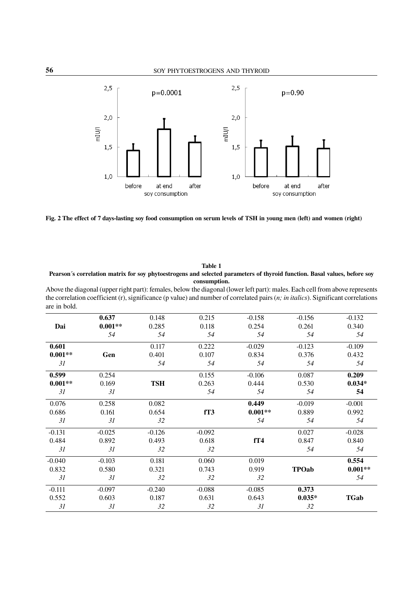

Fig. 2 The effect of 7 days-lasting soy food consumption on serum levels of TSH in young men (left) and women (right)

Table 1 Pearson´s correlation matrix for soy phytoestrogens and selected parameters of thyroid function. Basal values, before soy consumption.

Above the diagonal (upper right part): females, below the diagonal (lower left part): males. Each cell from above represents the correlation coefficient (r), significance (p value) and number of correlated pairs (*n; in italics*). Significant correlations are in bold.

|           | 0.637     | 0.148      | 0.215    | $-0.158$  | $-0.156$     | $-0.132$    |
|-----------|-----------|------------|----------|-----------|--------------|-------------|
| Dai       | $0.001**$ | 0.285      | 0.118    | 0.254     | 0.261        | 0.340       |
|           | 54        | 54         | 54       | 54        | 54           | 54          |
| 0.601     |           | 0.117      | 0.222    | $-0.029$  | $-0.123$     | $-0.109$    |
| $0.001**$ | Gen       | 0.401      | 0.107    | 0.834     | 0.376        | 0.432       |
| 31        |           | 54         | 54       | 54        | 54           | 54          |
| 0.599     | 0.254     |            | 0.155    | $-0.106$  | 0.087        | 0.209       |
| $0.001**$ | 0.169     | <b>TSH</b> | 0.263    | 0.444     | 0.530        | $0.034*$    |
| 31        | 31        |            | 54       | 54        | 54           | 54          |
| 0.076     | 0.258     | 0.082      |          | 0.449     | $-0.019$     | $-0.001$    |
| 0.686     | 0.161     | 0.654      | fT3      | $0.001**$ | 0.889        | 0.992       |
| 31        | 31        | 32         |          | 54        | 54           | 54          |
| $-0.131$  | $-0.025$  | $-0.126$   | $-0.092$ |           | 0.027        | $-0.028$    |
| 0.484     | 0.892     | 0.493      | 0.618    | fT4       | 0.847        | 0.840       |
| 31        | 31        | 32         | 32       |           | 54           | 54          |
| $-0.040$  | $-0.103$  | 0.181      | 0.060    | 0.019     |              | 0.554       |
| 0.832     | 0.580     | 0.321      | 0.743    | 0.919     | <b>TPOab</b> | $0.001**$   |
| 31        | 31        | 32         | 32       | 32        |              | 54          |
| $-0.111$  | $-0.097$  | $-0.240$   | $-0.088$ | $-0.085$  | 0.373        |             |
| 0.552     | 0.603     | 0.187      | 0.631    | 0.643     | $0.035*$     | <b>TGab</b> |
| 31        | 31        | 32         | 32       | 31        | 32           |             |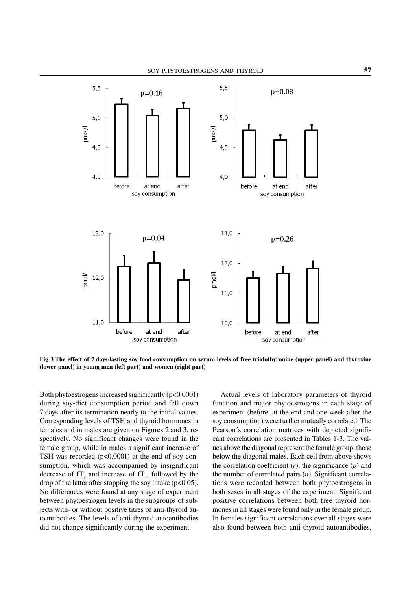

Fig 3 The effect of 7 days-lasting soy food consumption on serum levels of free triidothyronine (upper panel) and thyroxine (lower panel) in young men (left part) and women (right part)

Both phytoestrogens increased significantly (p<0.0001) during soy-diet consumption period and fell down 7 days after its termination nearly to the initial values. Corresponding levels of TSH and thyroid hormones in females and in males are given on Figures 2 and 3, respectively. No significant changes were found in the female group, while in males a significant increase of TSH was recorded  $(p<0.0001)$  at the end of soy consumption, which was accompanied by insignificant decrease of  $TT_3$  and increase of  $TT_4$ , followed by the drop of the latter after stopping the soy intake ( $p<0.05$ ). No differences were found at any stage of experiment between phytoestrogen levels in the subgroups of subjects with- or without positive titres of anti-thyroid autoantibodies. The levels of anti-thyroid autoantibodies did not change significantly during the experiment.

Actual levels of laboratory parameters of thyroid function and major phytoestrogens in each stage of experiment (before, at the end and one week after the soy consumption) were further mutually correlated. The Pearson´s correlation matrices with depicted significant correlations are presented in Tables 1-3. The values above the diagonal represent the female group, those below the diagonal males. Each cell from above shows the correlation coefficient  $(r)$ , the significance  $(p)$  and the number of correlated pairs (*n*). Significant correlations were recorded between both phytoestrogens in both sexes in all stages of the experiment. Significant positive correlations between both free thyroid hormones in all stages were found only in the female group. In females significant correlations over all stages were also found between both anti-thyroid autoantibodies,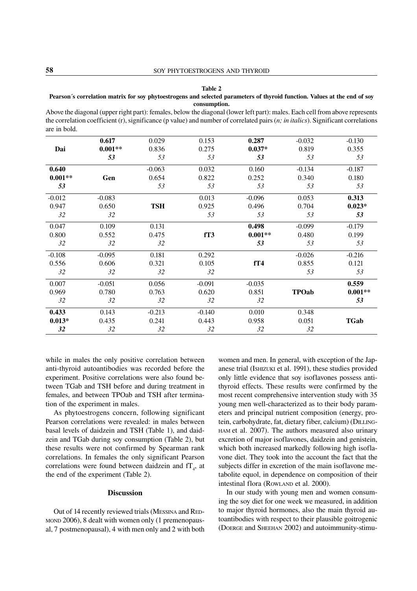#### Table 2

## Pearson´s correlation matrix for soy phytoestrogens and selected parameters of thyroid function. Values at the end of soy consumption.

Above the diagonal (upper right part): females, below the diagonal (lower left part): males. Each cell from above represents the correlation coefficient (r), significance (p value) and number of correlated pairs (*n; in italics*). Significant correlations are in bold.

|           | 0.617     | 0.029      | 0.153    | 0.287     | $-0.032$     | $-0.130$    |
|-----------|-----------|------------|----------|-----------|--------------|-------------|
| Dai       | $0.001**$ | 0.836      | 0.275    | $0.037*$  | 0.819        | 0.355       |
|           | 53        | 53         | 53       | 53        | 53           | 53          |
| 0.640     |           | $-0.063$   | 0.032    | 0.160     | $-0.134$     | $-0.187$    |
| $0.001**$ | Gen       | 0.654      | 0.822    | 0.252     | 0.340        | 0.180       |
| 53        |           | 53         | 53       | 53        | 53           | 53          |
| $-0.012$  | $-0.083$  |            | 0.013    | $-0.096$  | 0.053        | 0.313       |
| 0.947     | 0.650     | <b>TSH</b> | 0.925    | 0.496     | 0.704        | $0.023*$    |
| 32        | 32        |            | 53       | 53        | 53           | 53          |
| 0.047     | 0.109     | 0.131      |          | 0.498     | $-0.099$     | $-0.179$    |
| 0.800     | 0.552     | 0.475      | fT3      | $0.001**$ | 0.480        | 0.199       |
| 32        | 32        | 32         |          | 53        | 53           | 53          |
| $-0.108$  | $-0.095$  | 0.181      | 0.292    |           | $-0.026$     | $-0.216$    |
| 0.556     | 0.606     | 0.321      | 0.105    | fT4       | 0.855        | 0.121       |
| 32        | 32        | 32         | 32       |           | 53           | 53          |
| 0.007     | $-0.051$  | 0.056      | $-0.091$ | $-0.035$  |              | 0.559       |
| 0.969     | 0.780     | 0.763      | 0.620    | 0.851     | <b>TPOab</b> | $0.001**$   |
| 32        | 32        | 32         | 32       | 32        |              | 53          |
| 0.433     | 0.143     | $-0.213$   | $-0.140$ | 0.010     | 0.348        |             |
| $0.013*$  | 0.435     | 0.241      | 0.443    | 0.958     | 0.051        | <b>TGab</b> |
| 32        | 32        | 32         | 32       | 32        | 32           |             |
|           |           |            |          |           |              |             |

while in males the only positive correlation between anti-thyroid autoantibodies was recorded before the experiment. Positive correlations were also found between TGab and TSH before and during treatment in females, and between TPOab and TSH after termination of the experiment in males.

As phytoestrogens concern, following significant Pearson correlations were revealed: in males between basal levels of daidzein and TSH (Table 1), and daidzein and TGab during soy consumption (Table 2), but these results were not confirmed by Spearman rank correlations. In females the only significant Pearson correlations were found between daidzein and  $f_{4}$ , at the end of the experiment (Table 2).

## **Discussion**

Out of 14 recently reviewed trials (MESSINA and RED-MOND 2006), 8 dealt with women only (1 premenopausal, 7 postmenopausal), 4 with men only and 2 with both women and men. In general, with exception of the Japanese trial (ISHIZUKI et al. 1991), these studies provided only little evidence that soy isoflavones possess antithyroid effects. These results were confirmed by the most recent comprehensive intervention study with 35 young men well-characterized as to their body parameters and principal nutrient composition (energy, protein, carbohydrate, fat, dietary fiber, calcium) (DILLING-HAM et al. 2007). The authors measured also urinary excretion of major isoflavones, daidzein and genistein, which both increased markedly following high isoflavone diet. They took into the account the fact that the subjects differ in excretion of the main isoflavone metabolite equol, in dependence on composition of their intestinal flora (ROWLAND et al. 2000).

In our study with young men and women consuming the soy diet for one week we measured, in addition to major thyroid hormones, also the main thyroid autoantibodies with respect to their plausible goitrogenic (DOERGE and SHEEHAN 2002) and autoimmunity-stimu-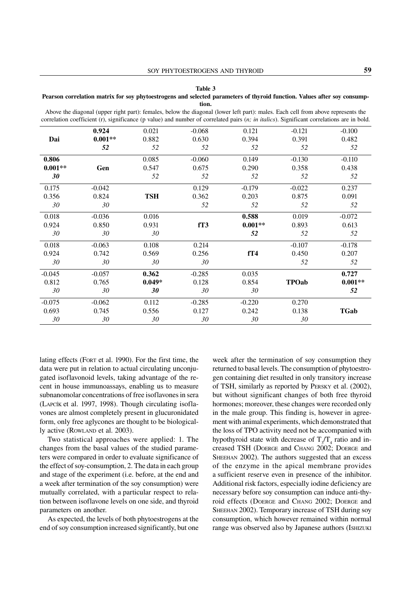#### Table 3

#### Pearson correlation matrix for soy phytoestrogens and selected parameters of thyroid function. Values after soy consumption.

|           | 0.924     | 0.021      | $-0.068$ | 0.121     | $-0.121$     | $-0.100$    |
|-----------|-----------|------------|----------|-----------|--------------|-------------|
| Dai       | $0.001**$ | 0.882      | 0.630    | 0.394     | 0.391        | 0.482       |
|           | 52        | 52         | 52       | 52        | 52           | 52          |
| 0.806     |           | 0.085      | $-0.060$ | 0.149     | $-0.130$     | $-0.110$    |
| $0.001**$ | Gen       | 0.547      | 0.675    | 0.290     | 0.358        | 0.438       |
| 30        |           | 52         | 52       | 52        | 52           | 52          |
| 0.175     | $-0.042$  |            | 0.129    | $-0.179$  | $-0.022$     | 0.237       |
| 0.356     | 0.824     | <b>TSH</b> | 0.362    | 0.203     | 0.875        | 0.091       |
| 30        | 30        |            | 52       | 52        | 52           | 52          |
| 0.018     | $-0.036$  | 0.016      |          | 0.588     | 0.019        | $-0.072$    |
| 0.924     | 0.850     | 0.931      | fT3      | $0.001**$ | 0.893        | 0.613       |
| 30        | 30        | 30         |          | 52        | 52           | 52          |
| 0.018     | $-0.063$  | 0.108      | 0.214    |           | $-0.107$     | $-0.178$    |
| 0.924     | 0.742     | 0.569      | 0.256    | fT4       | 0.450        | 0.207       |
| 30        | 30        | 30         | 30       |           | 52           | 52          |
| $-0.045$  | $-0.057$  | 0.362      | $-0.285$ | 0.035     |              | 0.727       |
| 0.812     | 0.765     | $0.049*$   | 0.128    | 0.854     | <b>TPOab</b> | $0.001**$   |
| 30        | 30        | 30         | 30       | 30        |              | 52          |
| $-0.075$  | $-0.062$  | 0.112      | $-0.285$ | $-0.220$  | 0.270        |             |
| 0.693     | 0.745     | 0.556      | 0.127    | 0.242     | 0.138        | <b>TGab</b> |
| 30        | 30        | 30         | 30       | 30        | 30           |             |

Above the diagonal (upper right part): females, below the diagonal (lower left part): males. Each cell from above represents the correlation coefficient (r), significance (p value) and number of correlated pairs (*n; in italics*). Significant correlations are in bold.

lating effects (FORT et al. 1990). For the first time, the data were put in relation to actual circulating unconjugated isoflavonoid levels, taking advantage of the recent in house immunoassays, enabling us to measure subnanomolar concentrations of free isoflavones in sera (LAPCÍK et al. 1997, 1998). Though circulating isoflavones are almost completely present in glucuronidated form, only free aglycones are thought to be biologically active (ROWLAND et al. 2003).

Two statistical approaches were applied: 1. The changes from the basal values of the studied parameters were compared in order to evaluate significance of the effect of soy-consumption, 2. The data in each group and stage of the experiment (i.e. before, at the end and a week after termination of the soy consumption) were mutually correlated, with a particular respect to relation between isoflavone levels on one side, and thyroid parameters on another.

As expected, the levels of both phytoestrogens at the end of soy consumption increased significantly, but one

week after the termination of soy consumption they returned to basal levels. The consumption of phytoestrogen containing diet resulted in only transitory increase of TSH, similarly as reported by PERSKY et al. (2002), but without significant changes of both free thyroid hormones; moreover, these changes were recorded only in the male group. This finding is, however in agreement with animal experiments, which demonstrated that the loss of TPO activity need not be accompanied with hypothyroid state with decrease of  $T_3/T_4$  ratio and increased TSH (DOERGE and CHANG 2002; DOERGE and SHEEHAN 2002). The authors suggested that an excess of the enzyme in the apical membrane provides a sufficient reserve even in presence of the inhibitor. Additional risk factors, especially iodine deficiency are necessary before soy consumption can induce anti-thyroid effects (DOERGE and CHANG 2002; DOERGE and SHEEHAN 2002). Temporary increase of TSH during soy consumption, which however remained within normal range was observed also by Japanese authors (ISHIZUKI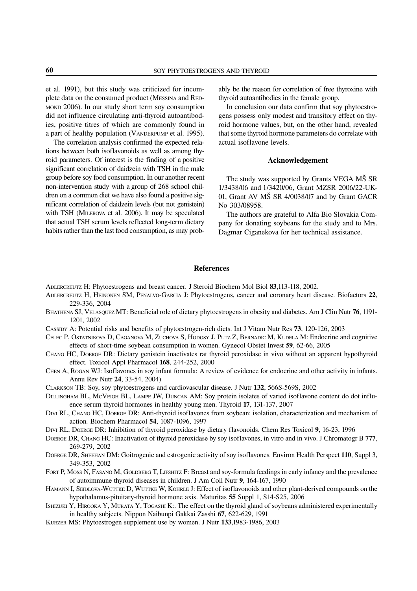et al. 1991), but this study was criticized for incomplete data on the consumed product (MESSINA and RED-MOND 2006). In our study short term soy consumption did not influence circulating anti-thyroid autoantibodies, positive titres of which are commonly found in a part of healthy population (VANDERPUMP et al. 1995).

The correlation analysis confirmed the expected relations between both isoflavonoids as well as among thyroid parameters. Of interest is the finding of a positive significant correlation of daidzein with TSH in the male group before soy food consumption. In our another recent non-intervention study with a group of 268 school children on a common diet we have also found a positive significant correlation of daidzein levels (but not genistein) with TSH (MILEROVA et al. 2006). It may be speculated that actual TSH serum levels reflected long-term dietary habits rather than the last food consumption, as may probably be the reason for correlation of free thyroxine with thyroid autoantibodies in the female group.

In conclusion our data confirm that soy phytoestrogens possess only modest and transitory effect on thyroid hormone values, but, on the other hand, revealed that some thyroid hormone parameters do correlate with actual isoflavone levels.

## Acknowledgement

The study was supported by Grants VEGA MŠ SR 1/3438/06 and 1/3420/06, Grant MZSR 2006/22-UK-01, Grant AV MŠ SR 4/0038/07 and by Grant GACR No 303/08958.

The authors are grateful to Alfa Bio Slovakia Company for donating soybeans for the study and to Mrs. Dagmar Ciganekova for her technical assistance.

## References

- ADLERCREUTZ H: Phytoestrogens and breast cancer*.* J Steroid Biochem Mol Biol 83,113-118, 2002.
- ADLERCREUTZ H, HEINONEN SM, PENALVO-GARCIA J: Phytoestrogens, cancer and coronary heart disease*.* Biofactors 22, 229-336, 2004
- BHATHENA SJ, VELASQUEZ MT: Beneficial role of dietary phytoestrogens in obesity and diabetes. Am J Clin Nutr 76, 1191-1201, 2002
- CASSIDY A: Potential risks and benefits of phytoestrogen-rich diets. Int J Vitam Nutr Res 73, 120-126, 2003
- CELEC P, OSTATNIKOVA D, CAGANOVA M, ZUCHOVA S, HODOSY J, PUTZ Z, BERNADIC M, KUDELA M: Endocrine and cognitive effects of short-time soybean consumption in women. Gynecol Obstet Invest 59, 62-66, 2005
- CHANG HC, DOERGE DR: Dietary genistein inactivates rat thyroid peroxidase in vivo without an apparent hypothyroid effect. Toxicol Appl Pharmacol 168, 244-252, 2000
- CHEN A, ROGAN WJ: Isoflavones in soy infant formula: A review of evidence for endocrine and other activity in infants. Annu Rev Nutr 24, 33-54, 2004)
- CLARKSON TB: Soy, soy phytoestrogens and cardiovascular disease. J Nutr 132, 566S-569S, 2002
- DILLINGHAM BL, MCVEIGH BL, LAMPE JW, DUNCAN AM: Soy protein isolates of varied isoflavone content do dot influence serum thyroid hormones in healthy young men. Thyroid 17, 131-137, 2007
- DIVI RL, CHANG HC, DOERGE DR: Anti-thyroid isoflavones from soybean: isolation, characterization and mechanism of action*.* Biochem Pharmacol 54, 1087-1096, 1997
- DIVI RL, DOERGE DR: Inhibition of thyroid peroxidase by dietary flavonoids. Chem Res Toxicol 9, 16-23, 1996
- DOERGE DR, CHANG HC: Inactivation of thyroid peroxidase by soy isoflavones, in vitro and in vivo. J Chromatogr B 777, 269-279, 2002
- DOERGE DR, SHEEHAN DM: Goitrogenic and estrogenic activity of soy isoflavones*.* Environ Health Perspect 110, Suppl 3, 349-353, 2002
- FORT P, MOSS N, FASANO M, GOLDBERG T, LIFSHITZ F: Breast and soy-formula feedings in early infancy and the prevalence of autoimmune thyroid diseases in children. J Am Coll Nutr 9, 164-167, 1990
- HAMANN I, SEIDLOVA-WUTTKE D, WUTTKE W, KOHRLE J: Effect of isoflavonoids and other plant-derived compounds on the hypothalamus-pituitary-thyroid hormone axis. Maturitas 55 Suppl 1, S14-S25, 2006
- ISHIZUKI Y, HIROOKA Y, MURATA Y, TOGASHI K:. The effect on the thyroid gland of soybeans administered experimentally in healthy subjects. Nippon Naibunpi Gakkai Zasshi 67, 622-629, 1991
- KURZER MS: Phytoestrogen supplement use by women. J Nutr 133,1983-1986, 2003